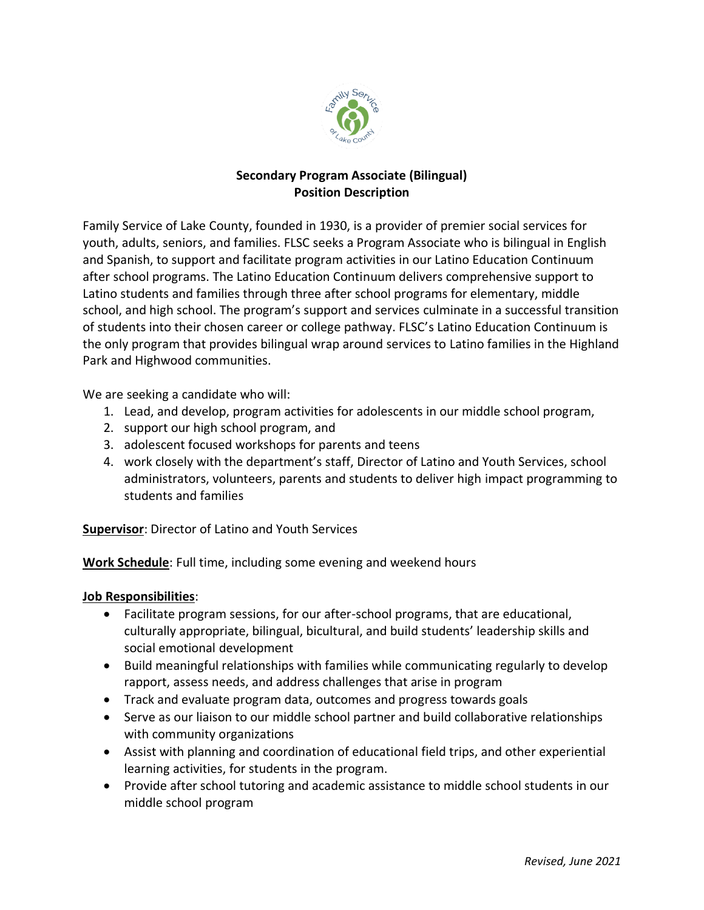

# **Secondary Program Associate (Bilingual) Position Description**

Family Service of Lake County, founded in 1930, is a provider of premier social services for youth, adults, seniors, and families. FLSC seeks a Program Associate who is bilingual in English and Spanish, to support and facilitate program activities in our Latino Education Continuum after school programs. The Latino Education Continuum delivers comprehensive support to Latino students and families through three after school programs for elementary, middle school, and high school. The program's support and services culminate in a successful transition of students into their chosen career or college pathway. FLSC's Latino Education Continuum is the only program that provides bilingual wrap around services to Latino families in the Highland Park and Highwood communities.

We are seeking a candidate who will:

- 1. Lead, and develop, program activities for adolescents in our middle school program,
- 2. support our high school program, and
- 3. adolescent focused workshops for parents and teens
- 4. work closely with the department's staff, Director of Latino and Youth Services, school administrators, volunteers, parents and students to deliver high impact programming to students and families

**Supervisor**: Director of Latino and Youth Services

**Work Schedule**: Full time, including some evening and weekend hours

### **Job Responsibilities**:

- Facilitate program sessions, for our after-school programs, that are educational, culturally appropriate, bilingual, bicultural, and build students' leadership skills and social emotional development
- Build meaningful relationships with families while communicating regularly to develop rapport, assess needs, and address challenges that arise in program
- Track and evaluate program data, outcomes and progress towards goals
- Serve as our liaison to our middle school partner and build collaborative relationships with community organizations
- Assist with planning and coordination of educational field trips, and other experiential learning activities, for students in the program.
- Provide after school tutoring and academic assistance to middle school students in our middle school program